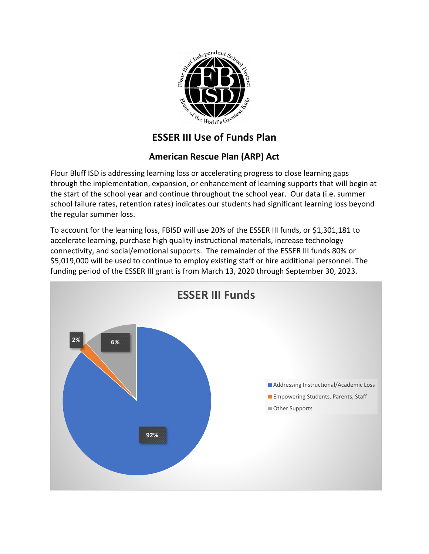

## **ESSER III Use of Funds Plan**

## **American Rescue Plan (ARP) Act**

Flour Bluff ISD is addressing learning loss or accelerating progress to close learning gaps through the implementation, expansion, or enhancement of learning supports that will begin at the start of the school year and continue throughout the school year. Our data (i.e. summer school failure rates, retention rates) indicates our students had significant learning loss beyond the regular summer loss.

To account for the learning loss, FBISD will use 20% of the ESSER III funds, or \$1,301,181 to accelerate learning, purchase high quality instructional materials, increase technology connectivity, and social/emotional supports. The remainder of the ESSER III funds 80% or \$5,019,000 will be used to continue to employ existing staff or hire additional personnel. The funding period of the ESSER III grant is from March 13, 2020 through September 30, 2023.

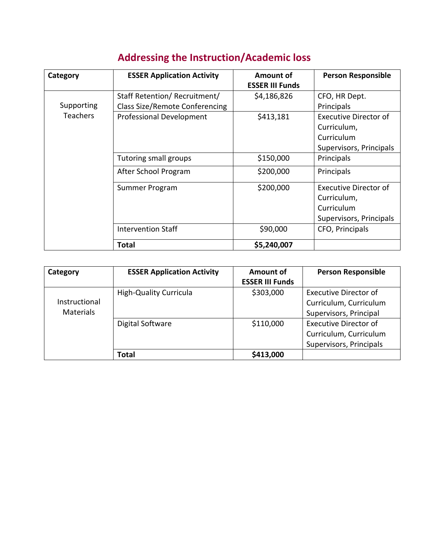| <b>Addressing the Instruction/Academic loss</b> |  |  |
|-------------------------------------------------|--|--|
|                                                 |  |  |

| Category        | <b>ESSER Application Activity</b>     | Amount of              | <b>Person Responsible</b>    |
|-----------------|---------------------------------------|------------------------|------------------------------|
|                 |                                       | <b>ESSER III Funds</b> |                              |
|                 | Staff Retention/Recruitment/          | \$4,186,826            | CFO, HR Dept.                |
| Supporting      | <b>Class Size/Remote Conferencing</b> |                        | Principals                   |
| <b>Teachers</b> | Professional Development              | \$413,181              | <b>Executive Director of</b> |
|                 |                                       |                        | Curriculum,                  |
|                 |                                       |                        | Curriculum                   |
|                 |                                       |                        | Supervisors, Principals      |
|                 | Tutoring small groups                 | \$150,000              | Principals                   |
|                 | After School Program                  | \$200,000              | Principals                   |
|                 | Summer Program                        | \$200,000              | <b>Executive Director of</b> |
|                 |                                       |                        | Curriculum,                  |
|                 |                                       |                        | Curriculum                   |
|                 |                                       |                        | Supervisors, Principals      |
|                 | <b>Intervention Staff</b>             | \$90,000               | CFO, Principals              |
|                 | Total                                 | \$5,240,007            |                              |

| Category         | <b>ESSER Application Activity</b> | Amount of              | <b>Person Responsible</b>    |
|------------------|-----------------------------------|------------------------|------------------------------|
|                  |                                   | <b>ESSER III Funds</b> |                              |
|                  | <b>High-Quality Curricula</b>     | \$303,000              | Executive Director of        |
| Instructional    |                                   |                        | Curriculum, Curriculum       |
| <b>Materials</b> |                                   |                        | Supervisors, Principal       |
|                  | Digital Software                  | \$110,000              | <b>Executive Director of</b> |
|                  |                                   |                        | Curriculum, Curriculum       |
|                  |                                   |                        | Supervisors, Principals      |
|                  | Total                             | \$413,000              |                              |